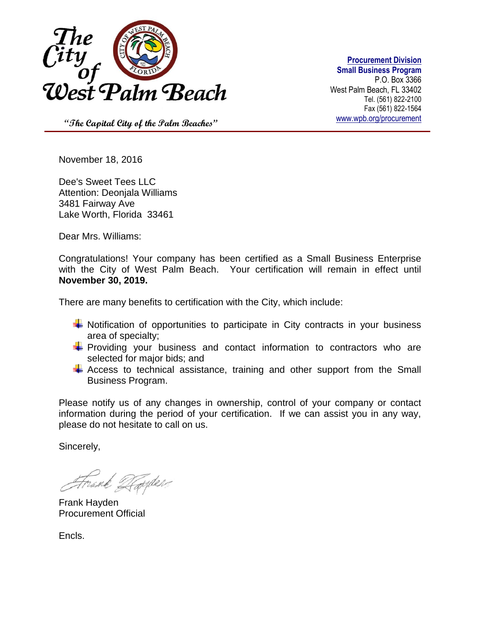

**Procurement Division Small Business Program** P.O. Box 3366 West Palm Beach, FL 33402 Tel. (561) 822-2100 Fax (561) 822-1564 [www.wpb.org/procurement](http://www.wpb.org/procurement)

**"The Capital City of the Palm Beaches"**

November 18, 2016

Dee's Sweet Tees LLC Attention: Deonjala Williams 3481 Fairway Ave Lake Worth, Florida 33461

Dear Mrs. Williams:

Congratulations! Your company has been certified as a Small Business Enterprise with the City of West Palm Beach. Your certification will remain in effect until **November 30, 2019.**

There are many benefits to certification with the City, which include:

- $\ddot{\phantom{1}}$  Notification of opportunities to participate in City contracts in your business area of specialty;
- $\blacktriangleright$  Providing your business and contact information to contractors who are selected for major bids; and
- $\overline{\text{+}}$  Access to technical assistance, training and other support from the Small Business Program.

Please notify us of any changes in ownership, control of your company or contact information during the period of your certification. If we can assist you in any way, please do not hesitate to call on us.

Sincerely,

rank afarder

Frank Hayden Procurement Official

Encls.